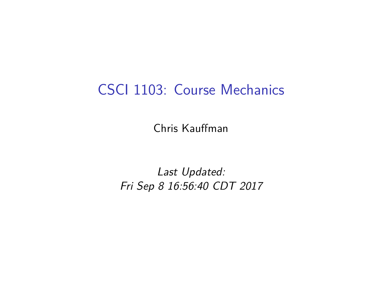## CSCI 1103: Course Mechanics

Chris Kauffman

Last Updated: Fri Sep 8 16:56:40 CDT 2017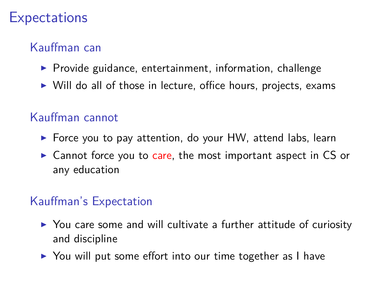### **Expectations**

### Kauffman can

- $\triangleright$  Provide guidance, entertainment, information, challenge
- $\triangleright$  Will do all of those in lecture, office hours, projects, exams

#### Kauffman cannot

- $\triangleright$  Force you to pay attention, do your HW, attend labs, learn
- $\triangleright$  Cannot force you to care, the most important aspect in CS or any education

#### Kauffman's Expectation

- $\triangleright$  You care some and will cultivate a further attitude of curiosity and discipline
- ▶ You will put some effort into our time together as I have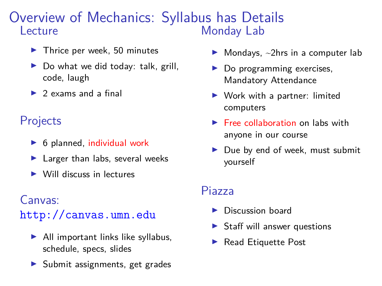#### Overview of Mechanics: Syllabus has Details Lecture Monday Lab

- $\blacktriangleright$  Thrice per week, 50 minutes
- $\triangleright$  Do what we did today: talk, grill, code, laugh
- $\triangleright$  2 exams and a final

#### Projects

- $\triangleright$  6 planned, individual work
- $\blacktriangleright$  Larger than labs, several weeks
- $\triangleright$  Will discuss in lectures

#### Canvas:

<http://canvas.umn.edu>

- $\blacktriangleright$  All important links like syllabus, schedule, specs, slides
- $\blacktriangleright$  Submit assignments, get grades
- $\blacktriangleright$  Mondays,  $\sim$ 2hrs in a computer lab
- $\triangleright$  Do programming exercises, Mandatory Attendance
- $\triangleright$  Work with a partner: limited computers
- $\blacktriangleright$  Free collaboration on labs with anyone in our course
- Due by end of week, must submit yourself

#### Piazza

- $\blacktriangleright$  Discussion board
- $\triangleright$  Staff will answer questions
- $\blacktriangleright$  Read Etiquette Post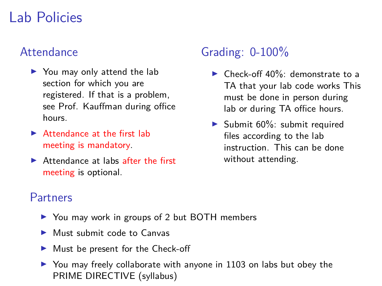## Lab Policies

#### Attendance

- $\blacktriangleright$  You may only attend the lab section for which you are registered. If that is a problem, see Prof. Kauffman during office hours.
- $\blacktriangleright$  Attendance at the first lab meeting is mandatory.
- $\blacktriangleright$  Attendance at labs after the first meeting is optional.

### Grading: 0-100%

- $\blacktriangleright$  Check-off 40%: demonstrate to a TA that your lab code works This must be done in person during lab or during TA office hours.
- Submit  $60\%$ : submit required files according to the lab instruction. This can be done without attending.

#### Partners

- ▶ You may work in groups of 2 but BOTH members
- $\blacktriangleright$  Must submit code to Canvas
- $\blacktriangleright$  Must be present for the Check-off
- $\triangleright$  You may freely collaborate with anyone in 1103 on labs but obey the PRIME DIRECTIVE (syllabus)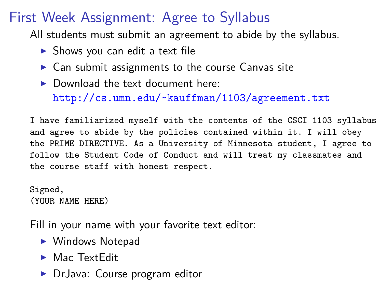## First Week Assignment: Agree to Syllabus

All students must submit an agreement to abide by the syllabus.

- $\triangleright$  Shows you can edit a text file
- $\triangleright$  Can submit assignments to the course Canvas site
- $\blacktriangleright$  Download the text document here: <http://cs.umn.edu/~kauffman/1103/agreement.txt>

I have familiarized myself with the contents of the CSCI 1103 syllabus and agree to abide by the policies contained within it. I will obey the PRIME DIRECTIVE. As a University of Minnesota student, I agree to follow the Student Code of Conduct and will treat my classmates and the course staff with honest respect.

Signed, (YOUR NAME HERE)

Fill in your name with your favorite text editor:

- $\blacktriangleright$  Windows Notepad
- $\blacktriangleright$  Mac Text Edit
- ▶ DrJava: Course program editor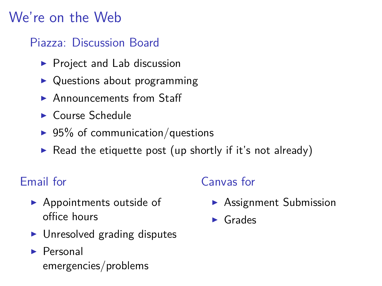## We're on the Web

### Piazza: Discussion Board

- $\blacktriangleright$  Project and Lab discussion
- $\triangleright$  Questions about programming
- $\blacktriangleright$  Announcements from Staff
- $\blacktriangleright$  Course Schedule
- $\blacktriangleright$  95% of communication/questions
- Read the etiquette post (up shortly if it's not already)

### Email for

- $\blacktriangleright$  Appointments outside of office hours
- $\blacktriangleright$  Unresolved grading disputes
- $\blacktriangleright$  Personal emergencies/problems

### Canvas for

- $\blacktriangleright$  Assignment Submission
- $\blacktriangleright$  Grades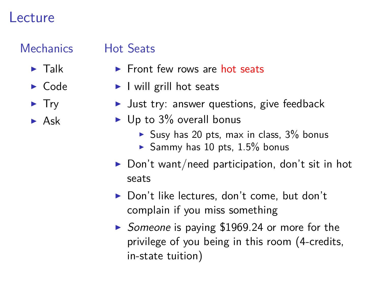### Lecture

### **Mechanics**  $\blacktriangleright$  Talk

 $\triangleright$  Code  $\blacktriangleright$  Try  $\blacktriangleright$  Ask

#### Hot Seats

- $\blacktriangleright$  Front few rows are hot seats
- $\blacktriangleright$  I will grill hot seats
- In Just try: answer questions, give feedback
- $\blacktriangleright$  Up to 3% overall bonus
	- $\blacktriangleright$  Susy has 20 pts, max in class, 3% bonus
	- Sammy has 10 pts,  $1.5\%$  bonus
- $\triangleright$  Don't want/need participation, don't sit in hot seats
- $\triangleright$  Don't like lectures, don't come, but don't complain if you miss something
- $\triangleright$  Someone is paying \$1969.24 or more for the privilege of you being in this room (4-credits, in-state tuition)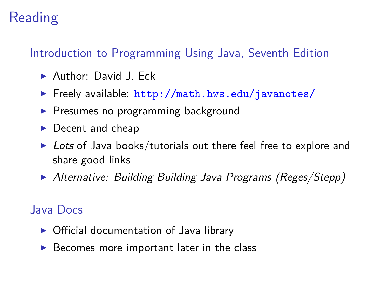## Reading

### Introduction to Programming Using Java, Seventh Edition

- $\blacktriangleright$  Author: David J. Eck
- $\triangleright$  Freely available: <http://math.hws.edu/javanotes/>
- $\triangleright$  Presumes no programming background
- $\blacktriangleright$  Decent and cheap
- $\triangleright$  Lots of Java books/tutorials out there feel free to explore and share good links
- Alternative: Building Building Java Programs (Reges/Stepp)

#### Java Docs

- $\triangleright$  Official documentation of Java library
- $\triangleright$  Becomes more important later in the class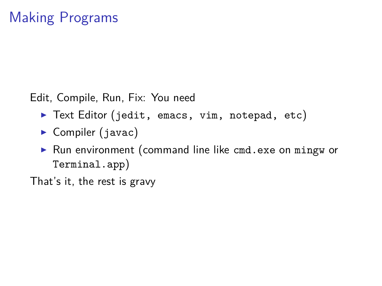Edit, Compile, Run, Fix: You need

- ▶ Text Editor (jedit, emacs, vim, notepad, etc)
- $\triangleright$  Compiler (javac)
- $\triangleright$  Run environment (command line like cmd.exe on mingw or Terminal.app)

That's it, the rest is gravy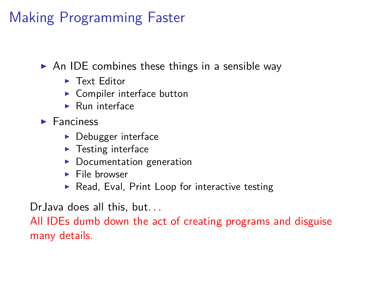# Making Programming Faster

 $\triangleright$  An IDE combines these things in a sensible way

- $\blacktriangleright$  Text Editor
- $\blacktriangleright$  Compiler interface button
- $\blacktriangleright$  Run interface
- $\blacktriangleright$  Fanciness
	- $\blacktriangleright$  Debugger interface
	- $\blacktriangleright$  Testing interface
	- $\blacktriangleright$  Documentation generation
	- $\blacktriangleright$  File browser
	- $\blacktriangleright$  Read, Eval, Print Loop for interactive testing

Dr. Java does all this, but...

All IDEs dumb down the act of creating programs and disguise many details.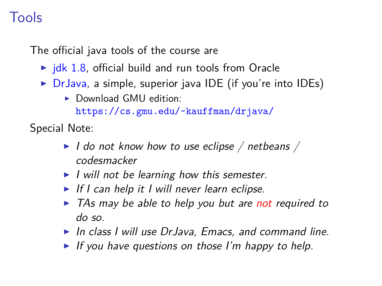## Tools

The official java tools of the course are

- $\triangleright$  [jdk 1.8,](http://www.oracle.com/technetwork/java/javase/downloads/jdk8-downloads-2133151.html) official build and run tools from Oracle
- $\triangleright$  [DrJava,](http://www.drjava.org/) a simple, superior java IDE (if you're into IDEs)
	- $\triangleright$  Download GMU edition:

<https://cs.gmu.edu/~kauffman/drjava/>

Special Note:

- $\blacktriangleright$  I do not know how to use eclipse / netbeans / codesmacker
- $\blacktriangleright$  I will not be learning how this semester.
- If I can help it I will never learn eclipse.
- $\triangleright$  TAs may be able to help you but are not required to do so.
- $\blacktriangleright$  In class I will use DrJava, Emacs, and command line.
- If you have questions on those I'm happy to help.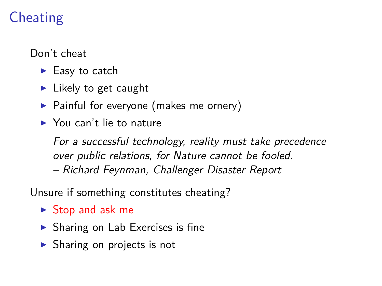# Cheating

Don't cheat

- $\blacktriangleright$  Easy to catch
- $\blacktriangleright$  Likely to get caught
- $\triangleright$  Painful for everyone (makes me ornery)
- $\blacktriangleright$  You can't lie to nature

For a successful technology, reality must take precedence over public relations, for Nature cannot be fooled. – Richard Feynman, Challenger Disaster Report

Unsure if something constitutes cheating?

- $\triangleright$  Stop and ask me
- $\triangleright$  Sharing on Lab Exercises is fine
- $\triangleright$  Sharing on projects is not